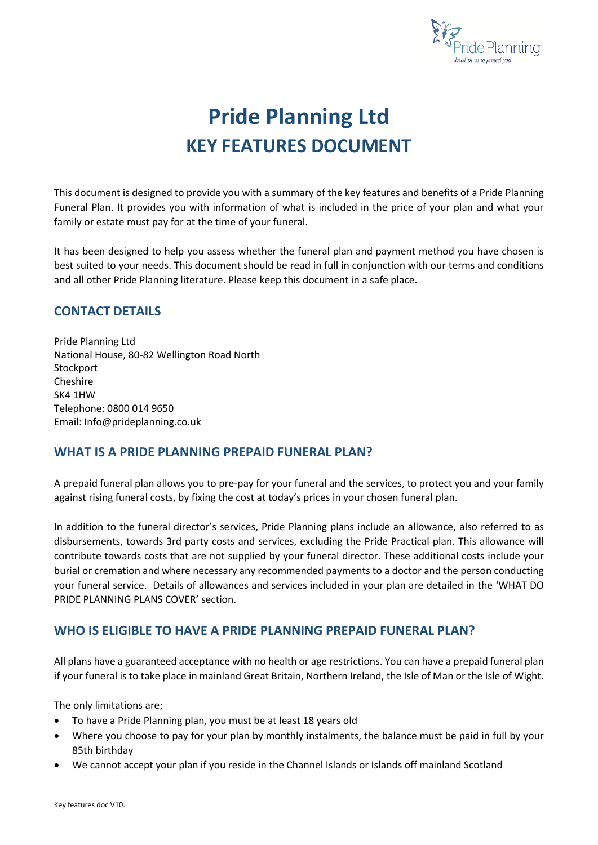

# **Pride Planning Ltd KEY FEATURES DOCUMENT**

This document is designed to provide you with a summary of the key features and benefits of a Pride Planning Funeral Plan. It provides you with information of what is included in the price of your plan and what your family or estate must pay for at the time of your funeral.

It has been designed to help you assess whether the funeral plan and payment method you have chosen is best suited to your needs. This document should be read in full in conjunction with our terms and conditions and all other Pride Planning literature. Please keep this document in a safe place.

## **CONTACT DETAILS**

Pride Planning Ltd National House, 80-82 Wellington Road North **Stockport** Cheshire SK4 1HW Telephone: 0800 014 9650 Email: Info@prideplanning.co.uk

#### **WHAT IS A PRIDE PLANNING PREPAID FUNERAL PLAN?**

A prepaid funeral plan allows you to pre-pay for your funeral and the services, to protect you and your family against rising funeral costs, by fixing the cost at today's prices in your chosen funeral plan.

In addition to the funeral director's services, Pride Planning plans include an allowance, also referred to as disbursements, towards 3rd party costs and services, excluding the Pride Practical plan. This allowance will contribute towards costs that are not supplied by your funeral director. These additional costs include your burial or cremation and where necessary any recommended payments to a doctor and the person conducting your funeral service. Details of allowances and services included in your plan are detailed in the 'WHAT DO PRIDE PLANNING PLANS COVER' section.

# **WHO IS ELIGIBLE TO HAVE A PRIDE PLANNING PREPAID FUNERAL PLAN?**

All plans have a guaranteed acceptance with no health or age restrictions. You can have a prepaid funeral plan if your funeral is to take place in mainland Great Britain, Northern Ireland, the Isle of Man or the Isle of Wight.

The only limitations are;

- To have a Pride Planning plan, you must be at least 18 years old
- Where you choose to pay for your plan by monthly instalments, the balance must be paid in full by your 85th birthday
- We cannot accept your plan if you reside in the Channel Islands or Islands off mainland Scotland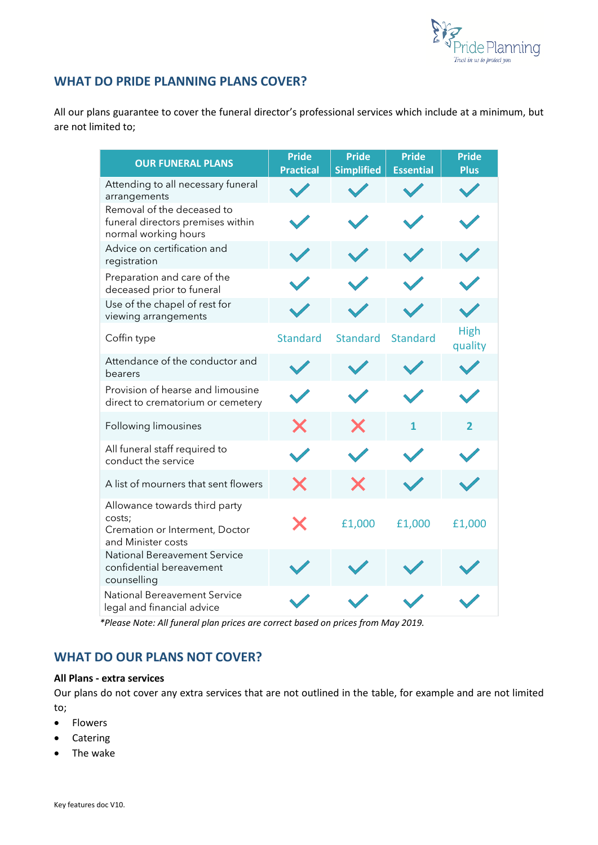

# **WHAT DO PRIDE PLANNING PLANS COVER?**

All our plans guarantee to cover the funeral director's professional services which include at a minimum, but are not limited to;

| <b>OUR FUNERAL PLANS</b>                                                                        | <b>Pride</b><br><b>Practical</b> | <b>Pride</b><br><b>Simplified</b> | <b>Pride</b><br><b>Essential</b> | <b>Pride</b><br><b>Plus</b> |
|-------------------------------------------------------------------------------------------------|----------------------------------|-----------------------------------|----------------------------------|-----------------------------|
| Attending to all necessary funeral<br>arrangements                                              |                                  |                                   |                                  |                             |
| Removal of the deceased to<br>funeral directors premises within<br>normal working hours         |                                  |                                   |                                  |                             |
| Advice on certification and<br>registration                                                     |                                  |                                   |                                  |                             |
| Preparation and care of the<br>deceased prior to funeral                                        |                                  |                                   |                                  |                             |
| Use of the chapel of rest for<br>viewing arrangements                                           |                                  |                                   |                                  |                             |
| Coffin type                                                                                     | <b>Standard</b>                  | <b>Standard</b>                   | <b>Standard</b>                  | <b>High</b><br>quality      |
| Attendance of the conductor and<br>bearers                                                      |                                  |                                   |                                  |                             |
| Provision of hearse and limousine<br>direct to crematorium or cemetery                          |                                  |                                   |                                  |                             |
| <b>Following limousines</b>                                                                     | X                                | X                                 | 1                                | $\overline{2}$              |
| All funeral staff required to<br>conduct the service                                            |                                  |                                   |                                  |                             |
| A list of mourners that sent flowers                                                            | X                                |                                   |                                  |                             |
| Allowance towards third party<br>costs;<br>Cremation or Interment, Doctor<br>and Minister costs | X                                | £1,000                            | £1,000                           | £1,000                      |
| <b>National Bereavement Service</b><br>confidential bereavement<br>counselling                  |                                  |                                   |                                  |                             |
| <b>National Bereavement Service</b><br>legal and financial advice                               |                                  |                                   |                                  |                             |

 *\*Please Note: All funeral plan prices are correct based on prices from May 2019.*

# **WHAT DO OUR PLANS NOT COVER?**

#### **All Plans - extra services**

Our plans do not cover any extra services that are not outlined in the table, for example and are not limited to;

- Flowers
- **Catering**
- The wake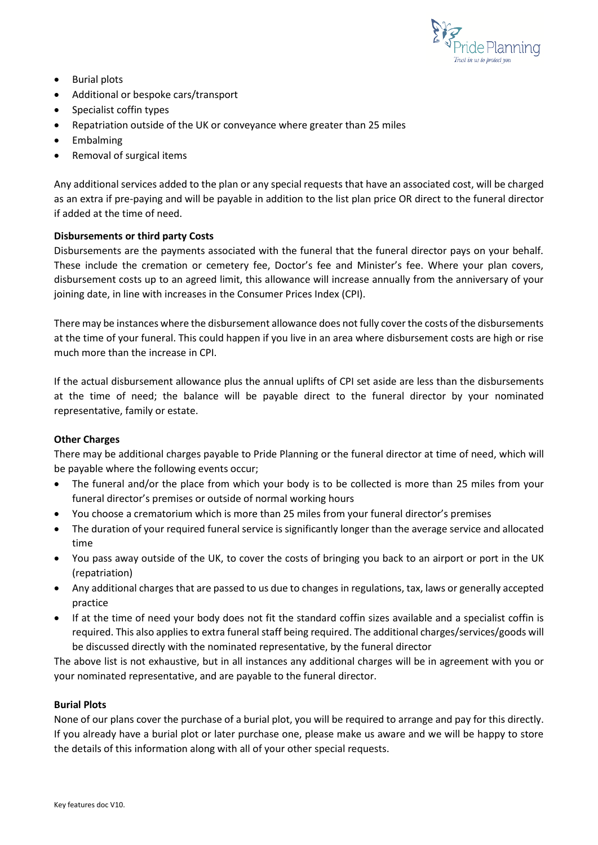

- Burial plots
- Additional or bespoke cars/transport
- Specialist coffin types
- Repatriation outside of the UK or conveyance where greater than 25 miles
- **Embalming**
- Removal of surgical items

Any additional services added to the plan or any special requests that have an associated cost, will be charged as an extra if pre-paying and will be payable in addition to the list plan price OR direct to the funeral director if added at the time of need.

#### **Disbursements or third party Costs**

Disbursements are the payments associated with the funeral that the funeral director pays on your behalf. These include the cremation or cemetery fee, Doctor's fee and Minister's fee. Where your plan covers, disbursement costs up to an agreed limit, this allowance will increase annually from the anniversary of your joining date, in line with increases in the Consumer Prices Index (CPI).

There may be instances where the disbursement allowance does not fully cover the costs of the disbursements at the time of your funeral. This could happen if you live in an area where disbursement costs are high or rise much more than the increase in CPI.

If the actual disbursement allowance plus the annual uplifts of CPI set aside are less than the disbursements at the time of need; the balance will be payable direct to the funeral director by your nominated representative, family or estate.

#### **Other Charges**

There may be additional charges payable to Pride Planning or the funeral director at time of need, which will be payable where the following events occur;

- The funeral and/or the place from which your body is to be collected is more than 25 miles from your funeral director's premises or outside of normal working hours
- You choose a crematorium which is more than 25 miles from your funeral director's premises
- The duration of your required funeral service is significantly longer than the average service and allocated time
- You pass away outside of the UK, to cover the costs of bringing you back to an airport or port in the UK (repatriation)
- Any additional charges that are passed to us due to changes in regulations, tax, laws or generally accepted practice
- If at the time of need your body does not fit the standard coffin sizes available and a specialist coffin is required. This also applies to extra funeral staff being required. The additional charges/services/goods will be discussed directly with the nominated representative, by the funeral director

The above list is not exhaustive, but in all instances any additional charges will be in agreement with you or your nominated representative, and are payable to the funeral director.

#### **Burial Plots**

None of our plans cover the purchase of a burial plot, you will be required to arrange and pay for this directly. If you already have a burial plot or later purchase one, please make us aware and we will be happy to store the details of this information along with all of your other special requests.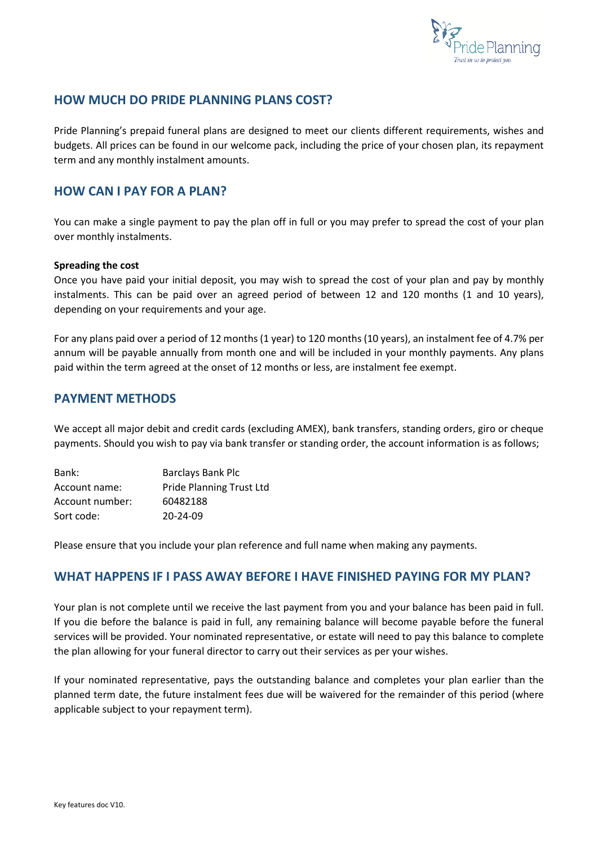

### **HOW MUCH DO PRIDE PLANNING PLANS COST?**

Pride Planning's prepaid funeral plans are designed to meet our clients different requirements, wishes and budgets. All prices can be found in our welcome pack, including the price of your chosen plan, its repayment term and any monthly instalment amounts.

## **HOW CAN I PAY FOR A PLAN?**

You can make a single payment to pay the plan off in full or you may prefer to spread the cost of your plan over monthly instalments.

#### **Spreading the cost**

Once you have paid your initial deposit, you may wish to spread the cost of your plan and pay by monthly instalments. This can be paid over an agreed period of between 12 and 120 months (1 and 10 years), depending on your requirements and your age.

For any plans paid over a period of 12 months (1 year) to 120 months (10 years), an instalment fee of 4.7% per annum will be payable annually from month one and will be included in your monthly payments. Any plans paid within the term agreed at the onset of 12 months or less, are instalment fee exempt.

#### **PAYMENT METHODS**

We accept all major debit and credit cards (excluding AMEX), bank transfers, standing orders, giro or cheque payments. Should you wish to pay via bank transfer or standing order, the account information is as follows;

| Barclays Bank Plc               |  |  |
|---------------------------------|--|--|
| <b>Pride Planning Trust Ltd</b> |  |  |
| 60482188                        |  |  |
| $20 - 24 - 09$                  |  |  |
|                                 |  |  |

Please ensure that you include your plan reference and full name when making any payments.

### **WHAT HAPPENS IF I PASS AWAY BEFORE I HAVE FINISHED PAYING FOR MY PLAN?**

Your plan is not complete until we receive the last payment from you and your balance has been paid in full. If you die before the balance is paid in full, any remaining balance will become payable before the funeral services will be provided. Your nominated representative, or estate will need to pay this balance to complete the plan allowing for your funeral director to carry out their services as per your wishes.

If your nominated representative, pays the outstanding balance and completes your plan earlier than the planned term date, the future instalment fees due will be waivered for the remainder of this period (where applicable subject to your repayment term).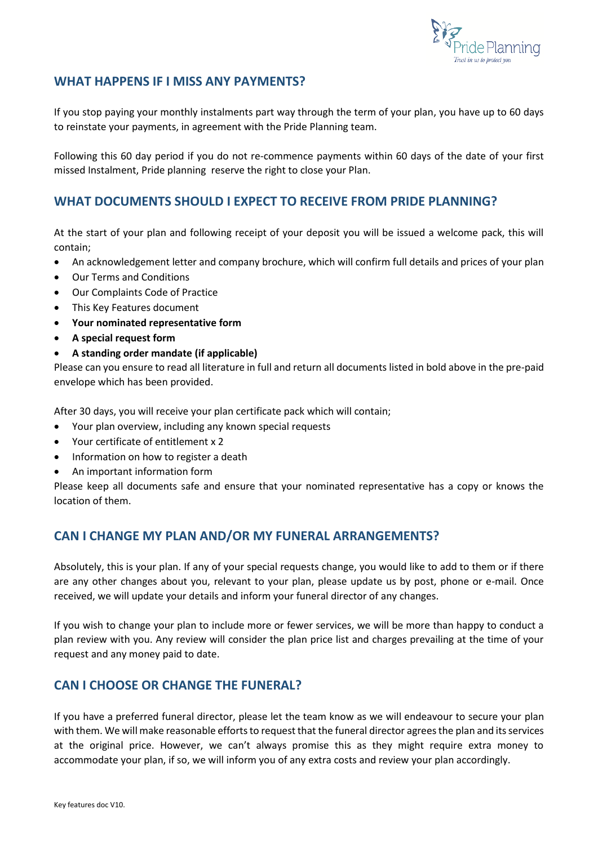

## **WHAT HAPPENS IF I MISS ANY PAYMENTS?**

If you stop paying your monthly instalments part way through the term of your plan, you have up to 60 days to reinstate your payments, in agreement with the Pride Planning team.

Following this 60 day period if you do not re-commence payments within 60 days of the date of your first missed Instalment, Pride planning reserve the right to close your Plan.

# **WHAT DOCUMENTS SHOULD I EXPECT TO RECEIVE FROM PRIDE PLANNING?**

At the start of your plan and following receipt of your deposit you will be issued a welcome pack, this will contain;

- An acknowledgement letter and company brochure, which will confirm full details and prices of your plan
- Our Terms and Conditions
- Our Complaints Code of Practice
- This Key Features document
- **Your nominated representative form**
- **A special request form**
- **A standing order mandate (if applicable)**

Please can you ensure to read all literature in full and return all documents listed in bold above in the pre-paid envelope which has been provided.

After 30 days, you will receive your plan certificate pack which will contain;

- Your plan overview, including any known special requests
- Your certificate of entitlement x 2
- Information on how to register a death
- An important information form

Please keep all documents safe and ensure that your nominated representative has a copy or knows the location of them.

#### **CAN I CHANGE MY PLAN AND/OR MY FUNERAL ARRANGEMENTS?**

Absolutely, this is your plan. If any of your special requests change, you would like to add to them or if there are any other changes about you, relevant to your plan, please update us by post, phone or e-mail. Once received, we will update your details and inform your funeral director of any changes.

If you wish to change your plan to include more or fewer services, we will be more than happy to conduct a plan review with you. Any review will consider the plan price list and charges prevailing at the time of your request and any money paid to date.

## **CAN I CHOOSE OR CHANGE THE FUNERAL?**

If you have a preferred funeral director, please let the team know as we will endeavour to secure your plan with them. We will make reasonable efforts to request that the funeral director agrees the plan and its services at the original price. However, we can't always promise this as they might require extra money to accommodate your plan, if so, we will inform you of any extra costs and review your plan accordingly.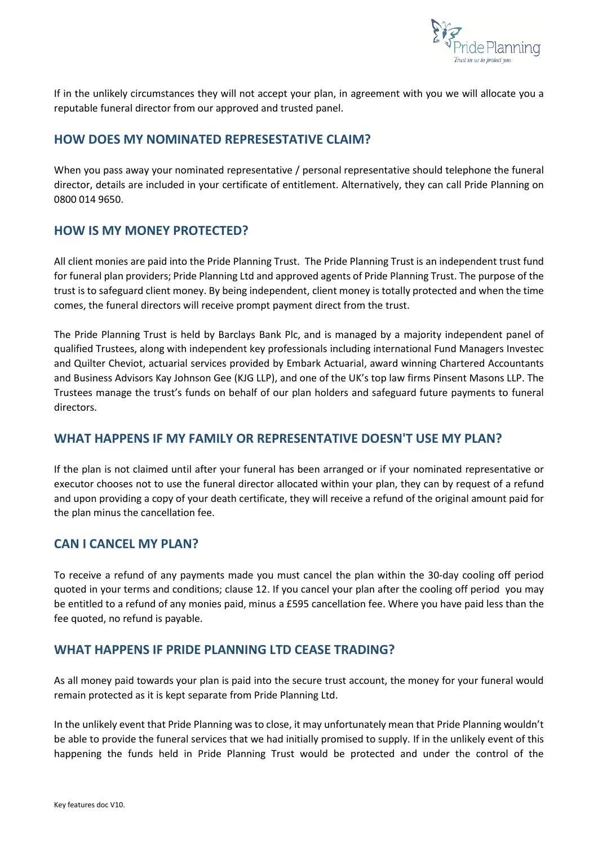

If in the unlikely circumstances they will not accept your plan, in agreement with you we will allocate you a reputable funeral director from our approved and trusted panel.

# **HOW DOES MY NOMINATED REPRESESTATIVE CLAIM?**

When you pass away your nominated representative / personal representative should telephone the funeral director, details are included in your certificate of entitlement. Alternatively, they can call Pride Planning on 0800 014 9650.

# **HOW IS MY MONEY PROTECTED?**

All client monies are paid into the Pride Planning Trust. The Pride Planning Trust is an independent trust fund for funeral plan providers; Pride Planning Ltd and approved agents of Pride Planning Trust. The purpose of the trust is to safeguard client money. By being independent, client money is totally protected and when the time comes, the funeral directors will receive prompt payment direct from the trust.

The Pride Planning Trust is held by Barclays Bank Plc, and is managed by a majority independent panel of qualified Trustees, along with independent key professionals including international Fund Managers Investec and Quilter Cheviot, actuarial services provided by Embark Actuarial, award winning Chartered Accountants and Business Advisors Kay Johnson Gee (KJG LLP), and one of the UK's top law firms Pinsent Masons LLP. The Trustees manage the trust's funds on behalf of our plan holders and safeguard future payments to funeral directors.

# **WHAT HAPPENS IF MY FAMILY OR REPRESENTATIVE DOESN'T USE MY PLAN?**

If the plan is not claimed until after your funeral has been arranged or if your nominated representative or executor chooses not to use the funeral director allocated within your plan, they can by request of a refund and upon providing a copy of your death certificate, they will receive a refund of the original amount paid for the plan minus the cancellation fee.

# **CAN I CANCEL MY PLAN?**

To receive a refund of any payments made you must cancel the plan within the 30-day cooling off period quoted in your terms and conditions; clause 12. If you cancel your plan after the cooling off period you may be entitled to a refund of any monies paid, minus a £595 cancellation fee. Where you have paid less than the fee quoted, no refund is payable.

# **WHAT HAPPENS IF PRIDE PLANNING LTD CEASE TRADING?**

As all money paid towards your plan is paid into the secure trust account, the money for your funeral would remain protected as it is kept separate from Pride Planning Ltd.

In the unlikely event that Pride Planning was to close, it may unfortunately mean that Pride Planning wouldn't be able to provide the funeral services that we had initially promised to supply. If in the unlikely event of this happening the funds held in Pride Planning Trust would be protected and under the control of the